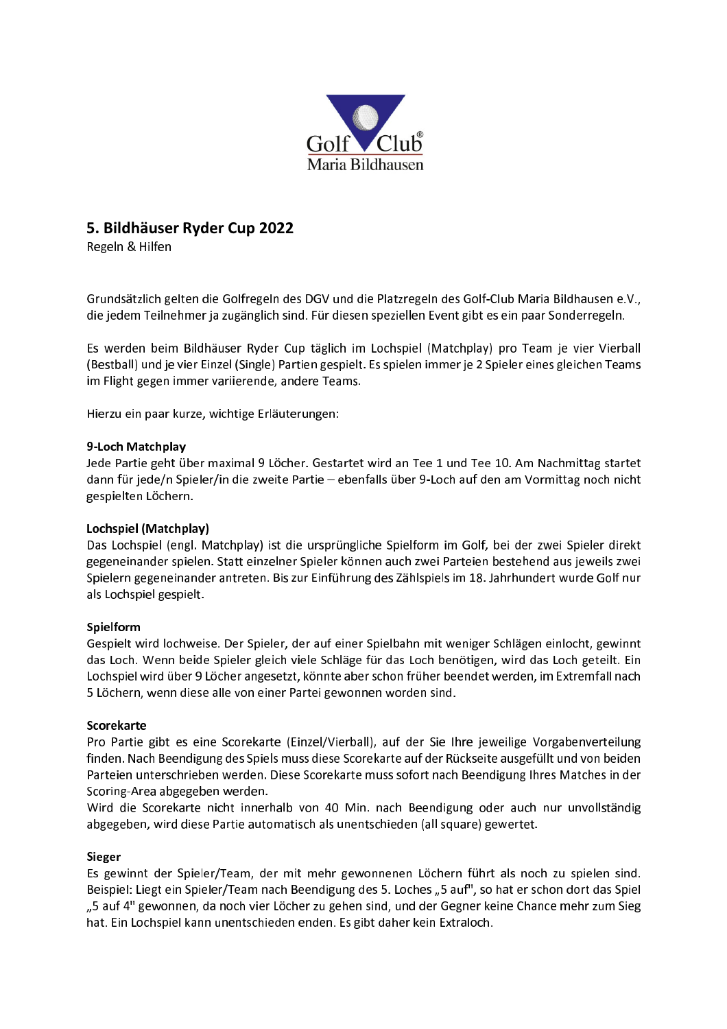

# 5. Bildhäuser Ryder Cup 2022

Regeln & Hilfen

Grundsätzlich gelten die Golfregeln des DGV und die Platzregeln des Golf-Club Maria Bildhausen e.V., die jedem Teilnehmer ja zugänglich sind. Für diesen speziellen Event gibt es ein paar Sonderregeln.

Es werden beim Bildhäuser Ryder Cup täglich im Lochspiel (Matchplay) pro Team je vier Vierball (Bestball) und je vier Einzel (Single) Partien gespielt. Es spielen immer je 2 Spieler eines gleichen Teams im Flight gegen immer variierende, andere Teams.

Hierzu ein paar kurze, wichtige Erläuterungen:

## 9-Loch Matchplay

Jede Partie geht über maximal 9 Löcher. Gestartet wird an Tee 1 und Tee 10. Am Nachmittag startet dann für jede/n Spieler/in die zweite Partie - ebenfalls über 9-Loch auf den am Vormittag noch nicht gespielten Löchern.

## Lochspiel (Matchplay)

Das Lochspiel (engl. Matchplay) ist die ursprüngliche Spielform im Golf, bei der zwei Spieler direkt gegeneinander spielen. Statt einzelner Spieler können auch zwei Parteien bestehend aus jeweils zwei Spielern gegeneinander antreten. Bis zur Einführung des Zählspiels im 18. Jahrhundert wurde Golf nur als Lochspiel gespielt.

## Spielform

Gespielt wird lochweise. Der Spieler, der auf einer Spielbahn mit weniger Schlägen einlocht, gewinnt das Loch. Wenn beide Spieler gleich viele Schläge für das Loch benötigen, wird das Loch geteilt. Ein Lochspiel wird über 9 Löcher angesetzt, könnte aber schon früher beendet werden, im Extremfall nach 5 Löchern, wenn diese alle von einer Partei gewonnen worden sind.

## Scorekarte

Pro Partie gibt es eine Scorekarte (Einzel/Vierball), auf der Sie Ihre jeweilige Vorgabenverteilung finden. Nach Beendigung des Spiels muss diese Scorekarte auf der Rückseite ausgefüllt und von beiden Parteien unterschrieben werden. Diese Scorekarte muss sofort nach Beendigung Ihres Matches in der Scoring-Area abgegeben werden.

Wird die Scorekarte nicht innerhalb von 40 Min. nach Beendigung oder auch nur unvollständig abgegeben, wird diese Partie automatisch als unentschieden (all square) gewertet.

## Sieger

Es gewinnt der Spieler/Team, der mit mehr gewonnenen Löchern führt als noch zu spielen sind. Beispiel: Liegt ein Spieler/Team nach Beendigung des 5. Loches "5 auf", so hat er schon dort das Spiel "5 auf 4" gewonnen, da noch vier Löcher zu gehen sind, und der Gegner keine Chance mehr zum Sieg hat. Ein Lochspiel kann unentschieden enden. Es gibt daher kein Extraloch.